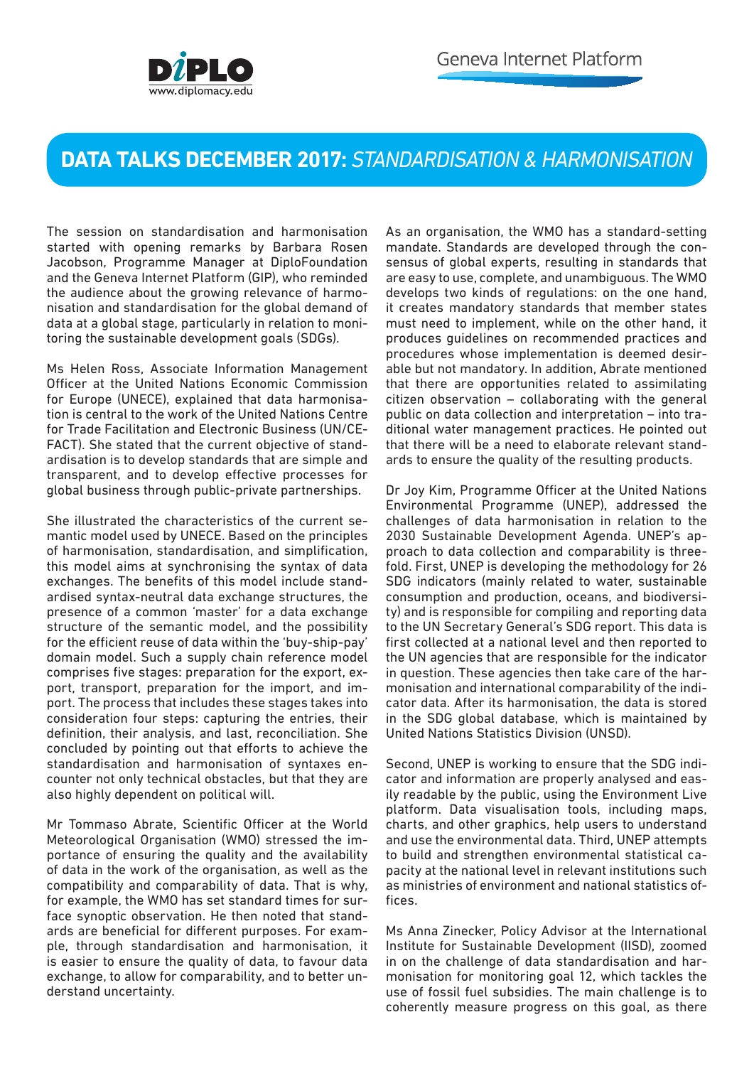

## **DATA TALKS DECEMBER 2017:** *STANDARDISATION & HARMONISATION*

The session on standardisation and harmonisation started with opening remarks by Barbara Rosen Jacobson, Programme Manager at DiploFoundation and the Geneva Internet Platform (GIP), who reminded the audience about the growing relevance of harmonisation and standardisation for the global demand of data at a global stage, particularly in relation to monitoring the sustainable development goals (SDGs).

Ms Helen Ross, Associate Information Management Officer at the United Nations Economic Commission for Europe (UNECE), explained that data harmonisation is central to the work of the United Nations Centre for Trade Facilitation and Electronic Business (UN/CE-FACT). She stated that the current objective of standardisation is to develop standards that are simple and transparent, and to develop effective processes for global business through public-private partnerships.

She illustrated the characteristics of the current semantic model used by UNECE. Based on the principles of harmonisation, standardisation, and simplification, this model aims at synchronising the syntax of data exchanges. The benefits of this model include standardised syntax-neutral data exchange structures, the presence of a common 'master' for a data exchange structure of the semantic model, and the possibility for the efficient reuse of data within the 'buy-ship-pay' domain model. Such a supply chain reference model comprises five stages: preparation for the export, export, transport, preparation for the import, and import. The process that includes these stages takes into consideration four steps: capturing the entries, their definition, their analysis, and last, reconciliation. She concluded by pointing out that efforts to achieve the standardisation and harmonisation of syntaxes encounter not only technical obstacles, but that they are also highly dependent on political will.

Mr Tommaso Abrate, Scientific Officer at the World Meteorological Organisation (WMO) stressed the importance of ensuring the quality and the availability of data in the work of the organisation, as well as the compatibility and comparability of data. That is why, for example, the WMO has set standard times for surface synoptic observation. He then noted that standards are beneficial for different purposes. For example, through standardisation and harmonisation, it is easier to ensure the quality of data, to favour data exchange, to allow for comparability, and to better understand uncertainty.

As an organisation, the WMO has a standard-setting mandate. Standards are developed through the consensus of global experts, resulting in standards that are easy to use, complete, and unambiguous. The WMO develops two kinds of regulations: on the one hand, it creates mandatory standards that member states must need to implement, while on the other hand, it produces guidelines on recommended practices and procedures whose implementation is deemed desirable but not mandatory. In addition, Abrate mentioned that there are opportunities related to assimilating citizen observation – collaborating with the general public on data collection and interpretation – into traditional water management practices. He pointed out that there will be a need to elaborate relevant standards to ensure the quality of the resulting products.

Dr Joy Kim, Programme Officer at the United Nations Environmental Programme (UNEP), addressed the challenges of data harmonisation in relation to the 2030 Sustainable Development Agenda. UNEP's approach to data collection and comparability is threefold. First, UNEP is developing the methodology for 26 SDG indicators (mainly related to water, sustainable consumption and production, oceans, and biodiversity) and is responsible for compiling and reporting data to the UN Secretary General's SDG report. This data is first collected at a national level and then reported to the UN agencies that are responsible for the indicator in question. These agencies then take care of the harmonisation and international comparability of the indicator data. After its harmonisation, the data is stored in the SDG global database, which is maintained by United Nations Statistics Division (UNSD).

Second, UNEP is working to ensure that the SDG indicator and information are properly analysed and easily readable by the public, using the Environment Live platform. Data visualisation tools, including maps, charts, and other graphics, help users to understand and use the environmental data. Third, UNEP attempts to build and strengthen environmental statistical capacity at the national level in relevant institutions such as ministries of environment and national statistics offices.

Ms Anna Zinecker, Policy Advisor at the International Institute for Sustainable Development (IISD), zoomed in on the challenge of data standardisation and harmonisation for monitoring goal 12, which tackles the use of fossil fuel subsidies. The main challenge is to coherently measure progress on this goal, as there